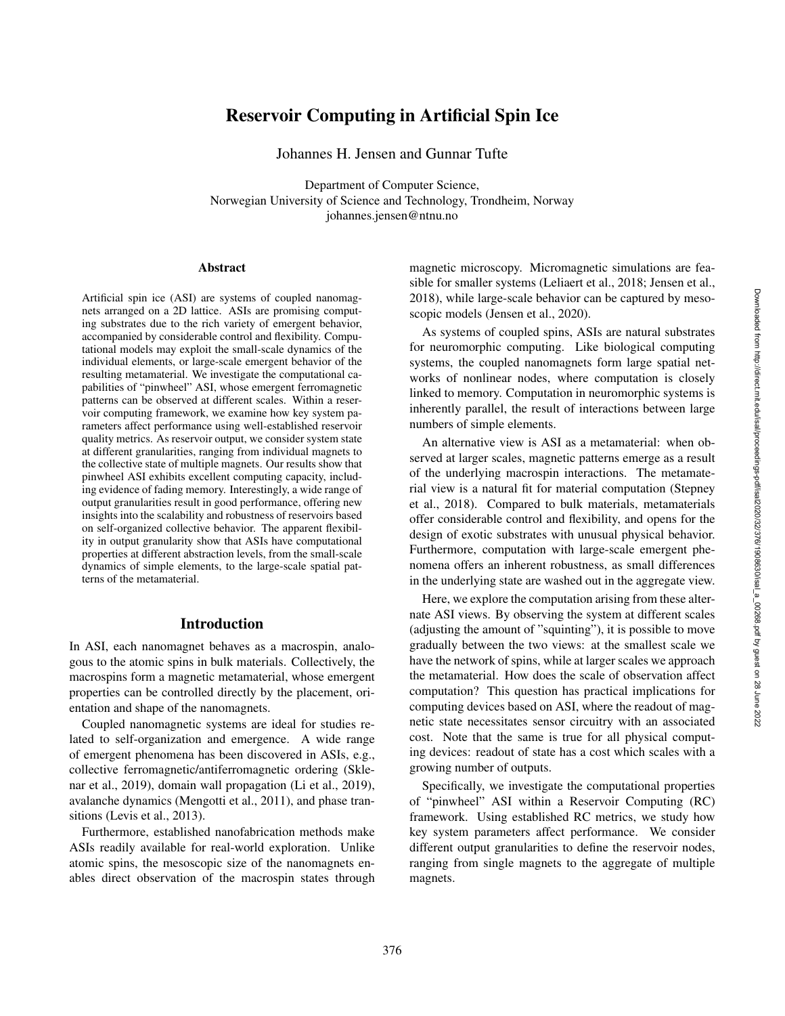# Reservoir Computing in Artificial Spin Ice

Johannes H. Jensen and Gunnar Tufte

Department of Computer Science, Norwegian University of Science and Technology, Trondheim, Norway johannes.jensen@ntnu.no

#### Abstract

Artificial spin ice (ASI) are systems of coupled nanomagnets arranged on a 2D lattice. ASIs are promising computing substrates due to the rich variety of emergent behavior, accompanied by considerable control and flexibility. Computational models may exploit the small-scale dynamics of the individual elements, or large-scale emergent behavior of the resulting metamaterial. We investigate the computational capabilities of "pinwheel" ASI, whose emergent ferromagnetic patterns can be observed at different scales. Within a reservoir computing framework, we examine how key system parameters affect performance using well-established reservoir quality metrics. As reservoir output, we consider system state at different granularities, ranging from individual magnets to the collective state of multiple magnets. Our results show that pinwheel ASI exhibits excellent computing capacity, including evidence of fading memory. Interestingly, a wide range of output granularities result in good performance, offering new insights into the scalability and robustness of reservoirs based on self-organized collective behavior. The apparent flexibility in output granularity show that ASIs have computational properties at different abstraction levels, from the small-scale dynamics of simple elements, to the large-scale spatial patterns of the metamaterial.

### Introduction

In ASI, each nanomagnet behaves as a macrospin, analogous to the atomic spins in bulk materials. Collectively, the macrospins form a magnetic metamaterial, whose emergent properties can be controlled directly by the placement, orientation and shape of the nanomagnets.

Coupled nanomagnetic systems are ideal for studies related to self-organization and emergence. A wide range of emergent phenomena has been discovered in ASIs, e.g., collective ferromagnetic/antiferromagnetic ordering (Sklenar et al., 2019), domain wall propagation (Li et al., 2019), avalanche dynamics (Mengotti et al., 2011), and phase transitions (Levis et al., 2013).

Furthermore, established nanofabrication methods make ASIs readily available for real-world exploration. Unlike atomic spins, the mesoscopic size of the nanomagnets enables direct observation of the macrospin states through magnetic microscopy. Micromagnetic simulations are feasible for smaller systems (Leliaert et al., 2018; Jensen et al., 2018), while large-scale behavior can be captured by mesoscopic models (Jensen et al., 2020).

As systems of coupled spins, ASIs are natural substrates for neuromorphic computing. Like biological computing systems, the coupled nanomagnets form large spatial networks of nonlinear nodes, where computation is closely linked to memory. Computation in neuromorphic systems is inherently parallel, the result of interactions between large numbers of simple elements.

An alternative view is ASI as a metamaterial: when observed at larger scales, magnetic patterns emerge as a result of the underlying macrospin interactions. The metamaterial view is a natural fit for material computation (Stepney et al., 2018). Compared to bulk materials, metamaterials offer considerable control and flexibility, and opens for the design of exotic substrates with unusual physical behavior. Furthermore, computation with large-scale emergent phenomena offers an inherent robustness, as small differences in the underlying state are washed out in the aggregate view.

Here, we explore the computation arising from these alternate ASI views. By observing the system at different scales (adjusting the amount of "squinting"), it is possible to move gradually between the two views: at the smallest scale we have the network of spins, while at larger scales we approach the metamaterial. How does the scale of observation affect computation? This question has practical implications for computing devices based on ASI, where the readout of magnetic state necessitates sensor circuitry with an associated cost. Note that the same is true for all physical computing devices: readout of state has a cost which scales with a growing number of outputs.

Specifically, we investigate the computational properties of "pinwheel" ASI within a Reservoir Computing (RC) framework. Using established RC metrics, we study how key system parameters affect performance. We consider different output granularities to define the reservoir nodes, ranging from single magnets to the aggregate of multiple magnets.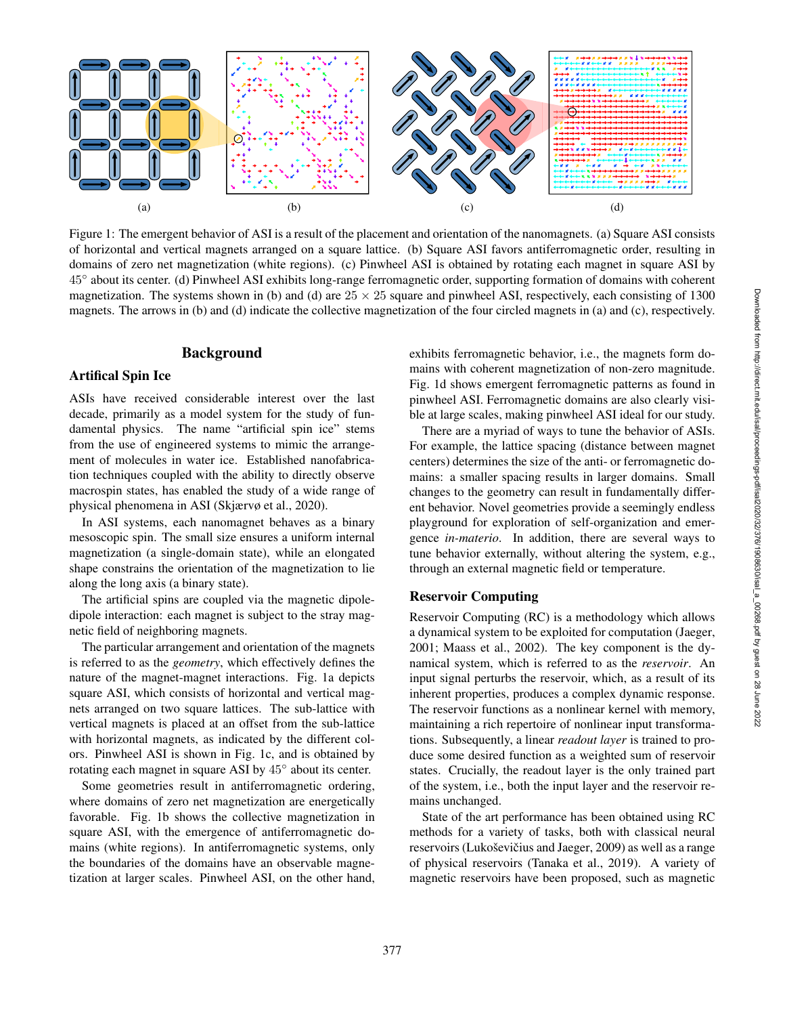

Figure 1: The emergent behavior of ASI is a result of the placement and orientation of the nanomagnets. (a) Square ASI consists of horizontal and vertical magnets arranged on a square lattice. (b) Square ASI favors antiferromagnetic order, resulting in domains of zero net magnetization (white regions). (c) Pinwheel ASI is obtained by rotating each magnet in square ASI by 45 ◦ about its center. (d) Pinwheel ASI exhibits long-range ferromagnetic order, supporting formation of domains with coherent magnetization. The systems shown in (b) and (d) are  $25 \times 25$  square and pinwheel ASI, respectively, each consisting of 1300 magnets. The arrows in (b) and (d) indicate the collective magnetization of the four circled magnets in (a) and (c), respectively.

# Background

# Artifical Spin Ice

ASIs have received considerable interest over the last decade, primarily as a model system for the study of fundamental physics. The name "artificial spin ice" stems from the use of engineered systems to mimic the arrangement of molecules in water ice. Established nanofabrication techniques coupled with the ability to directly observe macrospin states, has enabled the study of a wide range of physical phenomena in ASI (Skjærvø et al., 2020).

In ASI systems, each nanomagnet behaves as a binary mesoscopic spin. The small size ensures a uniform internal magnetization (a single-domain state), while an elongated shape constrains the orientation of the magnetization to lie along the long axis (a binary state).

The artificial spins are coupled via the magnetic dipoledipole interaction: each magnet is subject to the stray magnetic field of neighboring magnets.

The particular arrangement and orientation of the magnets is referred to as the *geometry*, which effectively defines the nature of the magnet-magnet interactions. Fig. 1a depicts square ASI, which consists of horizontal and vertical magnets arranged on two square lattices. The sub-lattice with vertical magnets is placed at an offset from the sub-lattice with horizontal magnets, as indicated by the different colors. Pinwheel ASI is shown in Fig. 1c, and is obtained by rotating each magnet in square ASI by  $45^{\circ}$  about its center.

Some geometries result in antiferromagnetic ordering, where domains of zero net magnetization are energetically favorable. Fig. 1b shows the collective magnetization in square ASI, with the emergence of antiferromagnetic domains (white regions). In antiferromagnetic systems, only the boundaries of the domains have an observable magnetization at larger scales. Pinwheel ASI, on the other hand,

exhibits ferromagnetic behavior, i.e., the magnets form domains with coherent magnetization of non-zero magnitude. Fig. 1d shows emergent ferromagnetic patterns as found in pinwheel ASI. Ferromagnetic domains are also clearly visible at large scales, making pinwheel ASI ideal for our study.

There are a myriad of ways to tune the behavior of ASIs. For example, the lattice spacing (distance between magnet centers) determines the size of the anti- or ferromagnetic domains: a smaller spacing results in larger domains. Small changes to the geometry can result in fundamentally different behavior. Novel geometries provide a seemingly endless playground for exploration of self-organization and emergence *in-materio*. In addition, there are several ways to tune behavior externally, without altering the system, e.g., through an external magnetic field or temperature.

#### Reservoir Computing

Reservoir Computing (RC) is a methodology which allows a dynamical system to be exploited for computation (Jaeger, 2001; Maass et al., 2002). The key component is the dynamical system, which is referred to as the *reservoir*. An input signal perturbs the reservoir, which, as a result of its inherent properties, produces a complex dynamic response. The reservoir functions as a nonlinear kernel with memory, maintaining a rich repertoire of nonlinear input transformations. Subsequently, a linear *readout layer* is trained to produce some desired function as a weighted sum of reservoir states. Crucially, the readout layer is the only trained part of the system, i.e., both the input layer and the reservoir remains unchanged.

State of the art performance has been obtained using RC methods for a variety of tasks, both with classical neural reservoirs (Lukoševičius and Jaeger, 2009) as well as a range of physical reservoirs (Tanaka et al., 2019). A variety of magnetic reservoirs have been proposed, such as magnetic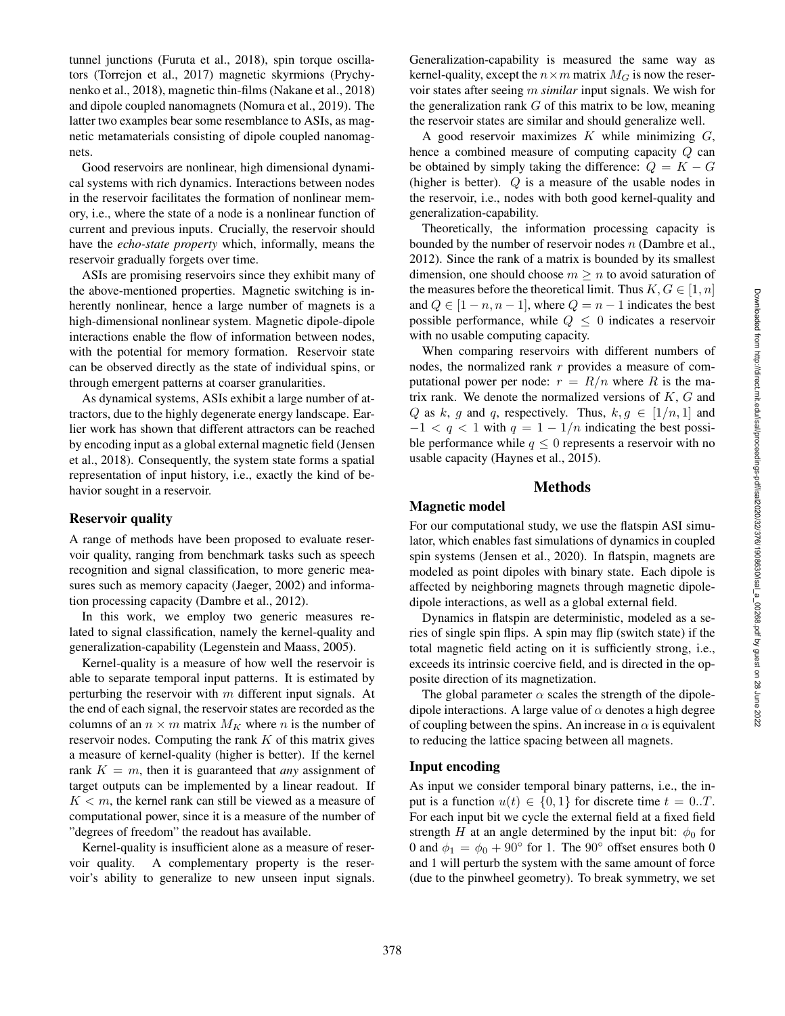tunnel junctions (Furuta et al., 2018), spin torque oscillators (Torrejon et al., 2017) magnetic skyrmions (Prychynenko et al., 2018), magnetic thin-films (Nakane et al., 2018) and dipole coupled nanomagnets (Nomura et al., 2019). The latter two examples bear some resemblance to ASIs, as magnetic metamaterials consisting of dipole coupled nanomagnets.

Good reservoirs are nonlinear, high dimensional dynamical systems with rich dynamics. Interactions between nodes in the reservoir facilitates the formation of nonlinear memory, i.e., where the state of a node is a nonlinear function of current and previous inputs. Crucially, the reservoir should have the *echo-state property* which, informally, means the reservoir gradually forgets over time.

ASIs are promising reservoirs since they exhibit many of the above-mentioned properties. Magnetic switching is inherently nonlinear, hence a large number of magnets is a high-dimensional nonlinear system. Magnetic dipole-dipole interactions enable the flow of information between nodes, with the potential for memory formation. Reservoir state can be observed directly as the state of individual spins, or through emergent patterns at coarser granularities.

As dynamical systems, ASIs exhibit a large number of attractors, due to the highly degenerate energy landscape. Earlier work has shown that different attractors can be reached by encoding input as a global external magnetic field (Jensen et al., 2018). Consequently, the system state forms a spatial representation of input history, i.e., exactly the kind of behavior sought in a reservoir.

### Reservoir quality

A range of methods have been proposed to evaluate reservoir quality, ranging from benchmark tasks such as speech recognition and signal classification, to more generic measures such as memory capacity (Jaeger, 2002) and information processing capacity (Dambre et al., 2012).

In this work, we employ two generic measures related to signal classification, namely the kernel-quality and generalization-capability (Legenstein and Maass, 2005).

Kernel-quality is a measure of how well the reservoir is able to separate temporal input patterns. It is estimated by perturbing the reservoir with  $m$  different input signals. At the end of each signal, the reservoir states are recorded as the columns of an  $n \times m$  matrix  $M_K$  where n is the number of reservoir nodes. Computing the rank  $K$  of this matrix gives a measure of kernel-quality (higher is better). If the kernel rank  $K = m$ , then it is guaranteed that *any* assignment of target outputs can be implemented by a linear readout. If  $K < m$ , the kernel rank can still be viewed as a measure of computational power, since it is a measure of the number of "degrees of freedom" the readout has available.

Kernel-quality is insufficient alone as a measure of reservoir quality. A complementary property is the reservoir's ability to generalize to new unseen input signals.

Generalization-capability is measured the same way as kernel-quality, except the  $n \times m$  matrix  $M_G$  is now the reservoir states after seeing m *similar* input signals. We wish for the generalization rank  $G$  of this matrix to be low, meaning the reservoir states are similar and should generalize well.

A good reservoir maximizes  $K$  while minimizing  $G$ , hence a combined measure of computing capacity Q can be obtained by simply taking the difference:  $Q = K - G$ (higher is better).  $Q$  is a measure of the usable nodes in the reservoir, i.e., nodes with both good kernel-quality and generalization-capability.

Theoretically, the information processing capacity is bounded by the number of reservoir nodes  $n$  (Dambre et al., 2012). Since the rank of a matrix is bounded by its smallest dimension, one should choose  $m \geq n$  to avoid saturation of the measures before the theoretical limit. Thus  $K, G \in [1, n]$ and  $Q \in [1 - n, n - 1]$ , where  $Q = n - 1$  indicates the best possible performance, while  $Q \leq 0$  indicates a reservoir with no usable computing capacity.

When comparing reservoirs with different numbers of nodes, the normalized rank r provides a measure of computational power per node:  $r = R/n$  where R is the matrix rank. We denote the normalized versions of  $K$ ,  $G$  and Q as k, q and q, respectively. Thus,  $k, q \in [1/n, 1]$  and  $-1 < q < 1$  with  $q = 1 - 1/n$  indicating the best possible performance while  $q \leq 0$  represents a reservoir with no usable capacity (Haynes et al., 2015).

## Methods

### Magnetic model

For our computational study, we use the flatspin ASI simulator, which enables fast simulations of dynamics in coupled spin systems (Jensen et al., 2020). In flatspin, magnets are modeled as point dipoles with binary state. Each dipole is affected by neighboring magnets through magnetic dipoledipole interactions, as well as a global external field.

Dynamics in flatspin are deterministic, modeled as a series of single spin flips. A spin may flip (switch state) if the total magnetic field acting on it is sufficiently strong, i.e., exceeds its intrinsic coercive field, and is directed in the opposite direction of its magnetization.

The global parameter  $\alpha$  scales the strength of the dipoledipole interactions. A large value of  $\alpha$  denotes a high degree of coupling between the spins. An increase in  $\alpha$  is equivalent to reducing the lattice spacing between all magnets.

# Input encoding

As input we consider temporal binary patterns, i.e., the input is a function  $u(t) \in \{0, 1\}$  for discrete time  $t = 0..T$ . For each input bit we cycle the external field at a fixed field strength H at an angle determined by the input bit:  $\phi_0$  for 0 and  $\phi_1 = \phi_0 + 90^{\circ}$  for 1. The  $90^{\circ}$  offset ensures both 0 and 1 will perturb the system with the same amount of force (due to the pinwheel geometry). To break symmetry, we set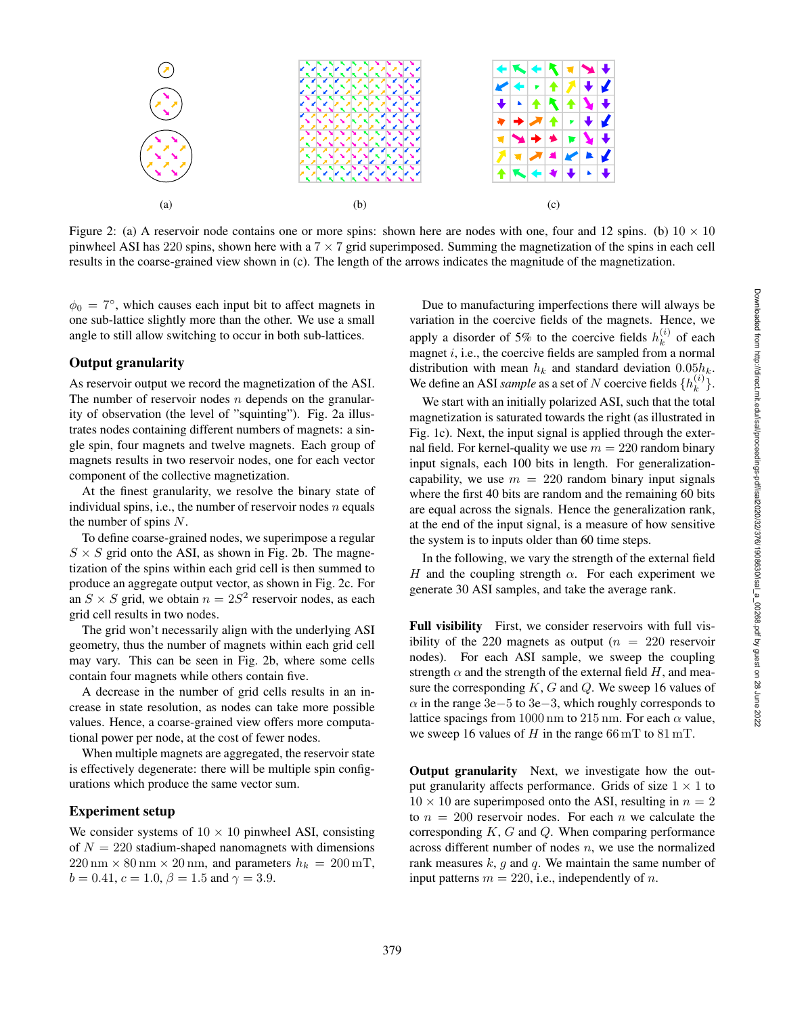

Figure 2: (a) A reservoir node contains one or more spins: shown here are nodes with one, four and 12 spins. (b)  $10 \times 10$ pinwheel ASI has 220 spins, shown here with a  $7 \times 7$  grid superimposed. Summing the magnetization of the spins in each cell results in the coarse-grained view shown in (c). The length of the arrows indicates the magnitude of the magnetization.

 $\phi_0 = 7^\circ$ , which causes each input bit to affect magnets in one sub-lattice slightly more than the other. We use a small angle to still allow switching to occur in both sub-lattices.

#### Output granularity

As reservoir output we record the magnetization of the ASI. The number of reservoir nodes  $n$  depends on the granularity of observation (the level of "squinting"). Fig. 2a illustrates nodes containing different numbers of magnets: a single spin, four magnets and twelve magnets. Each group of magnets results in two reservoir nodes, one for each vector component of the collective magnetization.

At the finest granularity, we resolve the binary state of individual spins, i.e., the number of reservoir nodes  $n$  equals the number of spins  $N$ .

To define coarse-grained nodes, we superimpose a regular  $S \times S$  grid onto the ASI, as shown in Fig. 2b. The magnetization of the spins within each grid cell is then summed to produce an aggregate output vector, as shown in Fig. 2c. For an  $S \times S$  grid, we obtain  $n = 2S^2$  reservoir nodes, as each grid cell results in two nodes.

The grid won't necessarily align with the underlying ASI geometry, thus the number of magnets within each grid cell may vary. This can be seen in Fig. 2b, where some cells contain four magnets while others contain five.

A decrease in the number of grid cells results in an increase in state resolution, as nodes can take more possible values. Hence, a coarse-grained view offers more computational power per node, at the cost of fewer nodes.

When multiple magnets are aggregated, the reservoir state is effectively degenerate: there will be multiple spin configurations which produce the same vector sum.

#### Experiment setup

We consider systems of  $10 \times 10$  pinwheel ASI, consisting of  $N = 220$  stadium-shaped nanomagnets with dimensions  $220 \text{ nm} \times 80 \text{ nm} \times 20 \text{ nm}$ , and parameters  $h_k = 200 \text{ mT}$ ,  $b = 0.41, c = 1.0, \beta = 1.5$  and  $\gamma = 3.9$ .

Due to manufacturing imperfections there will always be variation in the coercive fields of the magnets. Hence, we apply a disorder of 5% to the coercive fields  $h_k^{(i)}$  $k^{(i)}$  of each magnet  $i$ , i.e., the coercive fields are sampled from a normal distribution with mean  $h_k$  and standard deviation  $0.05h_k$ . We define an ASI *sample* as a set of N coercive fields  $\{h_k^{(i)}\}$  $\binom{u}{k}$ .

We start with an initially polarized ASI, such that the total magnetization is saturated towards the right (as illustrated in Fig. 1c). Next, the input signal is applied through the external field. For kernel-quality we use  $m = 220$  random binary input signals, each 100 bits in length. For generalizationcapability, we use  $m = 220$  random binary input signals where the first 40 bits are random and the remaining 60 bits are equal across the signals. Hence the generalization rank, at the end of the input signal, is a measure of how sensitive the system is to inputs older than 60 time steps.

In the following, we vary the strength of the external field H and the coupling strength  $\alpha$ . For each experiment we generate 30 ASI samples, and take the average rank.

Full visibility First, we consider reservoirs with full visibility of the 220 magnets as output  $(n = 220$  reservoir nodes). For each ASI sample, we sweep the coupling strength  $\alpha$  and the strength of the external field  $H,$  and measure the corresponding  $K$ ,  $G$  and  $Q$ . We sweep 16 values of  $\alpha$  in the range 3e−5 to 3e−3, which roughly corresponds to lattice spacings from  $1000\,\mathrm{nm}$  to  $215\,\mathrm{nm}$ . For each  $\alpha$  value, we sweep 16 values of H in the range  $66 \,\mathrm{mT}$  to  $81 \,\mathrm{mT}$ .

Output granularity Next, we investigate how the output granularity affects performance. Grids of size  $1 \times 1$  to  $10 \times 10$  are superimposed onto the ASI, resulting in  $n = 2$ to  $n = 200$  reservoir nodes. For each n we calculate the corresponding  $K$ ,  $G$  and  $Q$ . When comparing performance across different number of nodes  $n$ , we use the normalized rank measures  $k$ ,  $g$  and  $q$ . We maintain the same number of input patterns  $m = 220$ , i.e., independently of n.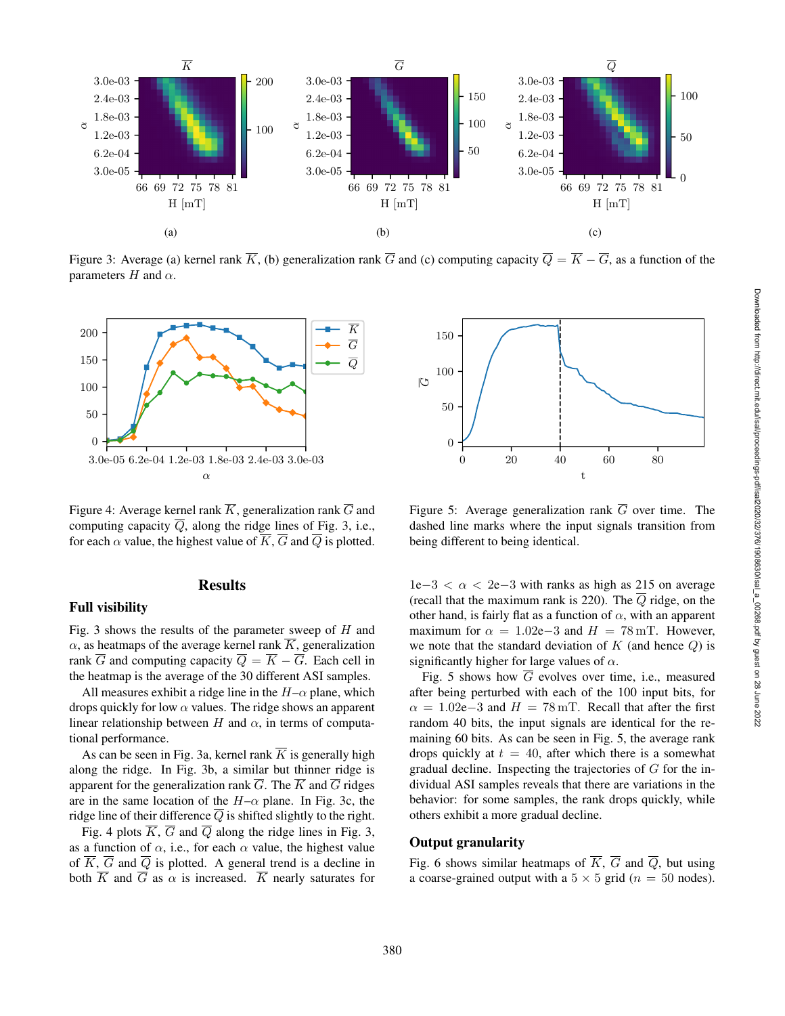

Figure 3: Average (a) kernel rank K, (b) generalization rank G and (c) computing capacity  $Q = K - G$ , as a function of the parameters  $H$  and  $\alpha$ .



Figure 4: Average kernel rank  $K$ , generalization rank  $G$  and computing capacity Q, along the ridge lines of Fig. 3, i.e., for each  $\alpha$  value, the highest value of K, G and Q is plotted.

# **Results**

# Full visibility

Fig. 3 shows the results of the parameter sweep of  $H$  and  $\alpha$ , as heatmaps of the average kernel rank K, generalization rank *G* and computing capacity  $Q = K - G$ . Each cell in the heatmap is the average of the 30 different ASI samples.

All measures exhibit a ridge line in the  $H-\alpha$  plane, which drops quickly for low  $\alpha$  values. The ridge shows an apparent linear relationship between H and  $\alpha$ , in terms of computational performance.

As can be seen in Fig. 3a, kernel rank  $K$  is generally high along the ridge. In Fig. 3b, a similar but thinner ridge is apparent for the generalization rank  $G$ . The  $K$  and  $G$  ridges are in the same location of the  $H-\alpha$  plane. In Fig. 3c, the ridge line of their difference  $Q$  is shifted slightly to the right.

Fig. 4 plots  $K$ ,  $G$  and  $Q$  along the ridge lines in Fig. 3, as a function of  $\alpha$ , i.e., for each  $\alpha$  value, the highest value of  $K$ ,  $G$  and  $Q$  is plotted. A general trend is a decline in both K and G as  $\alpha$  is increased. K nearly saturates for



Figure 5: Average generalization rank G over time. The dashed line marks where the input signals transition from being different to being identical.

 $1e-3 < \alpha < 2e-3$  with ranks as high as 215 on average (recall that the maximum rank is 220). The Q ridge, on the other hand, is fairly flat as a function of  $\alpha$ , with an apparent maximum for  $\alpha = 1.02e-3$  and  $H = 78$  mT. However, we note that the standard deviation of  $K$  (and hence  $Q$ ) is significantly higher for large values of  $\alpha$ .

Fig. 5 shows how G evolves over time, i.e., measured after being perturbed with each of the 100 input bits, for  $\alpha = 1.02e-3$  and  $H = 78$  mT. Recall that after the first random 40 bits, the input signals are identical for the remaining 60 bits. As can be seen in Fig. 5, the average rank drops quickly at  $t = 40$ , after which there is a somewhat gradual decline. Inspecting the trajectories of G for the individual ASI samples reveals that there are variations in the behavior: for some samples, the rank drops quickly, while others exhibit a more gradual decline.

#### Output granularity

Fig. 6 shows similar heatmaps of  $K$ ,  $G$  and  $Q$ , but using a coarse-grained output with a  $5 \times 5$  grid ( $n = 50$  nodes).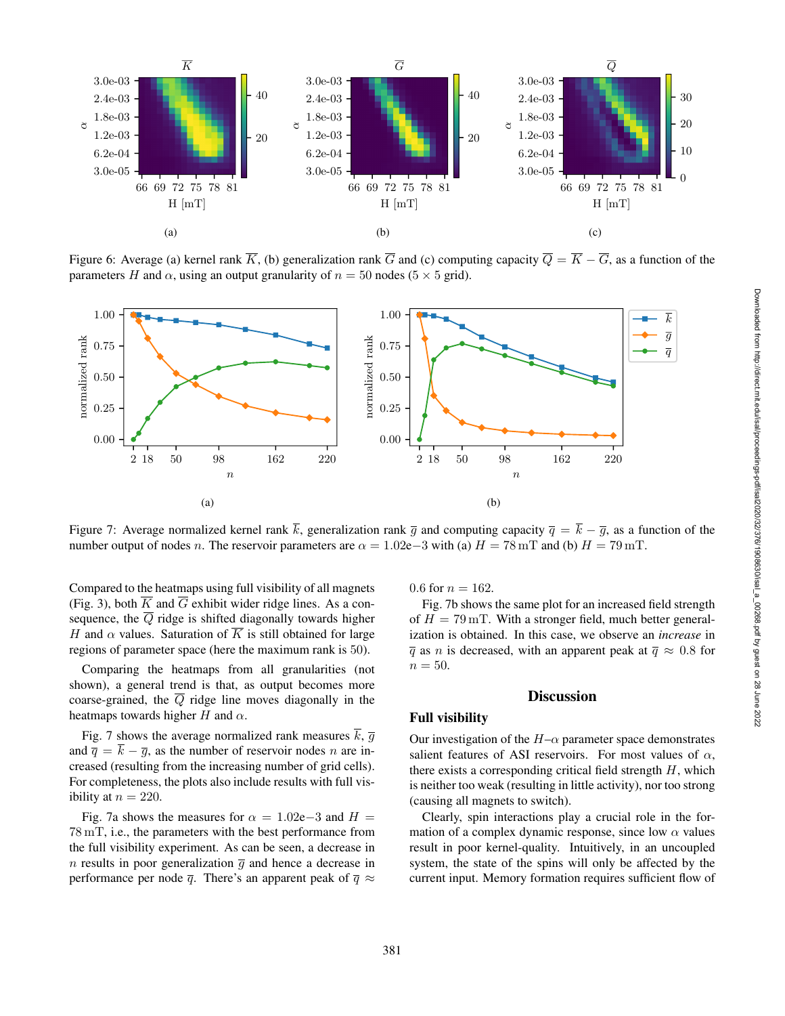

Figure 6: Average (a) kernel rank K, (b) generalization rank G and (c) computing capacity  $Q = K - G$ , as a function of the parameters H and  $\alpha$ , using an output granularity of  $n = 50$  nodes ( $5 \times 5$  grid).



Figure 7: Average normalized kernel rank k, generalization rank  $\overline{g}$  and computing capacity  $\overline{q} = k - \overline{g}$ , as a function of the number output of nodes *n*. The reservoir parameters are  $\alpha = 1.02e-3$  with (a)  $H = 78$  mT and (b)  $H = 79$  mT.

Compared to the heatmaps using full visibility of all magnets (Fig. 3), both  $K$  and  $G$  exhibit wider ridge lines. As a consequence, the  $\overline{Q}$  ridge is shifted diagonally towards higher H and  $\alpha$  values. Saturation of  $\overline{K}$  is still obtained for large regions of parameter space (here the maximum rank is 50).

Comparing the heatmaps from all granularities (not shown), a general trend is that, as output becomes more coarse-grained, the Q ridge line moves diagonally in the heatmaps towards higher H and  $\alpha$ .

Fig. 7 shows the average normalized rank measures  $k, \bar{g}$ and  $\overline{q} = k - \overline{g}$ , as the number of reservoir nodes *n* are increased (resulting from the increasing number of grid cells). For completeness, the plots also include results with full visibility at  $n = 220$ .

Fig. 7a shows the measures for  $\alpha = 1.02e-3$  and  $H =$ 78 mT, i.e., the parameters with the best performance from the full visibility experiment. As can be seen, a decrease in n results in poor generalization  $\overline{q}$  and hence a decrease in performance per node  $\bar{q}$ . There's an apparent peak of  $\bar{q} \approx$ 

 $0.6$  for  $n = 162$ .

Fig. 7b shows the same plot for an increased field strength of  $H = 79$  mT. With a stronger field, much better generalization is obtained. In this case, we observe an *increase* in  $\overline{q}$  as *n* is decreased, with an apparent peak at  $\overline{q} \approx 0.8$  for  $n = 50$ .

# **Discussion**

### Full visibility

Our investigation of the  $H-\alpha$  parameter space demonstrates salient features of ASI reservoirs. For most values of  $\alpha$ , there exists a corresponding critical field strength  $H$ , which is neither too weak (resulting in little activity), nor too strong (causing all magnets to switch).

Clearly, spin interactions play a crucial role in the formation of a complex dynamic response, since low  $\alpha$  values result in poor kernel-quality. Intuitively, in an uncoupled system, the state of the spins will only be affected by the current input. Memory formation requires sufficient flow of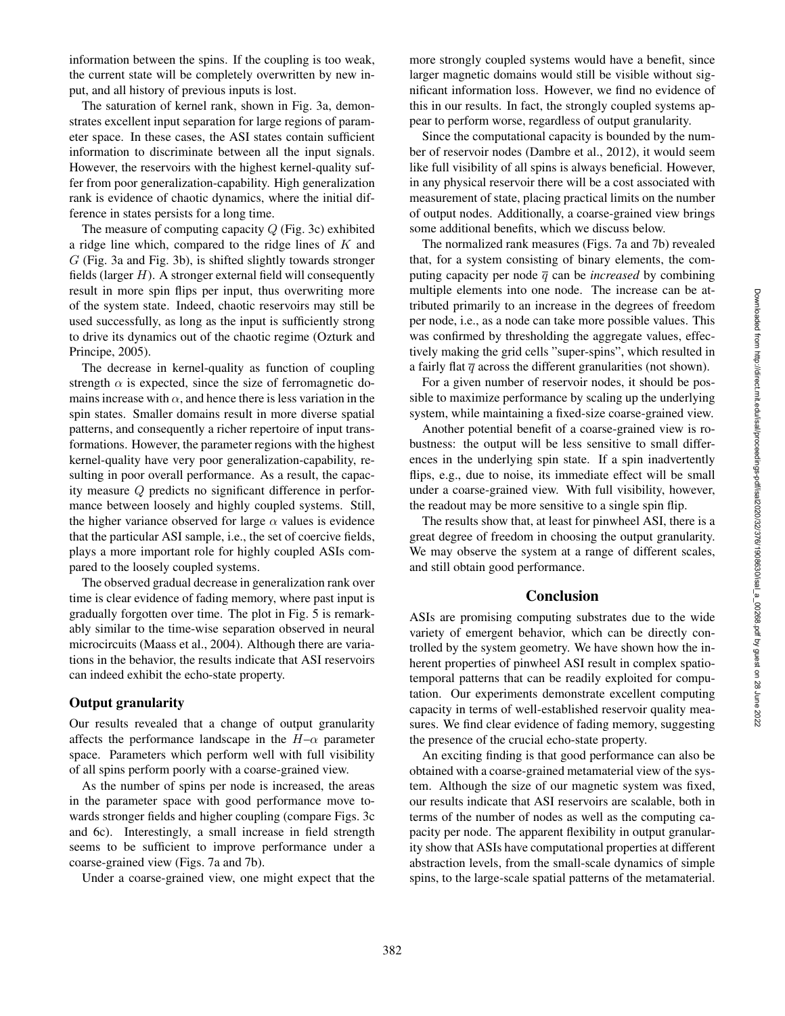information between the spins. If the coupling is too weak, the current state will be completely overwritten by new input, and all history of previous inputs is lost.

The saturation of kernel rank, shown in Fig. 3a, demonstrates excellent input separation for large regions of parameter space. In these cases, the ASI states contain sufficient information to discriminate between all the input signals. However, the reservoirs with the highest kernel-quality suffer from poor generalization-capability. High generalization rank is evidence of chaotic dynamics, where the initial difference in states persists for a long time.

The measure of computing capacity  $Q$  (Fig. 3c) exhibited a ridge line which, compared to the ridge lines of  $K$  and G (Fig. 3a and Fig. 3b), is shifted slightly towards stronger fields (larger  $H$ ). A stronger external field will consequently result in more spin flips per input, thus overwriting more of the system state. Indeed, chaotic reservoirs may still be used successfully, as long as the input is sufficiently strong to drive its dynamics out of the chaotic regime (Ozturk and Principe, 2005).

The decrease in kernel-quality as function of coupling strength  $\alpha$  is expected, since the size of ferromagnetic domains increase with  $\alpha$ , and hence there is less variation in the spin states. Smaller domains result in more diverse spatial patterns, and consequently a richer repertoire of input transformations. However, the parameter regions with the highest kernel-quality have very poor generalization-capability, resulting in poor overall performance. As a result, the capacity measure Q predicts no significant difference in performance between loosely and highly coupled systems. Still, the higher variance observed for large  $\alpha$  values is evidence that the particular ASI sample, i.e., the set of coercive fields, plays a more important role for highly coupled ASIs compared to the loosely coupled systems.

The observed gradual decrease in generalization rank over time is clear evidence of fading memory, where past input is gradually forgotten over time. The plot in Fig. 5 is remarkably similar to the time-wise separation observed in neural microcircuits (Maass et al., 2004). Although there are variations in the behavior, the results indicate that ASI reservoirs can indeed exhibit the echo-state property.

#### Output granularity

Our results revealed that a change of output granularity affects the performance landscape in the  $H-\alpha$  parameter space. Parameters which perform well with full visibility of all spins perform poorly with a coarse-grained view.

As the number of spins per node is increased, the areas in the parameter space with good performance move towards stronger fields and higher coupling (compare Figs. 3c and 6c). Interestingly, a small increase in field strength seems to be sufficient to improve performance under a coarse-grained view (Figs. 7a and 7b).

Under a coarse-grained view, one might expect that the

more strongly coupled systems would have a benefit, since larger magnetic domains would still be visible without significant information loss. However, we find no evidence of this in our results. In fact, the strongly coupled systems appear to perform worse, regardless of output granularity.

Since the computational capacity is bounded by the number of reservoir nodes (Dambre et al., 2012), it would seem like full visibility of all spins is always beneficial. However, in any physical reservoir there will be a cost associated with measurement of state, placing practical limits on the number of output nodes. Additionally, a coarse-grained view brings some additional benefits, which we discuss below.

The normalized rank measures (Figs. 7a and 7b) revealed that, for a system consisting of binary elements, the computing capacity per node  $\overline{q}$  can be *increased* by combining multiple elements into one node. The increase can be attributed primarily to an increase in the degrees of freedom per node, i.e., as a node can take more possible values. This was confirmed by thresholding the aggregate values, effectively making the grid cells "super-spins", which resulted in a fairly flat  $\overline{q}$  across the different granularities (not shown).

For a given number of reservoir nodes, it should be possible to maximize performance by scaling up the underlying system, while maintaining a fixed-size coarse-grained view.

Another potential benefit of a coarse-grained view is robustness: the output will be less sensitive to small differences in the underlying spin state. If a spin inadvertently flips, e.g., due to noise, its immediate effect will be small under a coarse-grained view. With full visibility, however, the readout may be more sensitive to a single spin flip.

The results show that, at least for pinwheel ASI, there is a great degree of freedom in choosing the output granularity. We may observe the system at a range of different scales, and still obtain good performance.

#### Conclusion

ASIs are promising computing substrates due to the wide variety of emergent behavior, which can be directly controlled by the system geometry. We have shown how the inherent properties of pinwheel ASI result in complex spatiotemporal patterns that can be readily exploited for computation. Our experiments demonstrate excellent computing capacity in terms of well-established reservoir quality measures. We find clear evidence of fading memory, suggesting the presence of the crucial echo-state property.

An exciting finding is that good performance can also be obtained with a coarse-grained metamaterial view of the system. Although the size of our magnetic system was fixed, our results indicate that ASI reservoirs are scalable, both in terms of the number of nodes as well as the computing capacity per node. The apparent flexibility in output granularity show that ASIs have computational properties at different abstraction levels, from the small-scale dynamics of simple spins, to the large-scale spatial patterns of the metamaterial.